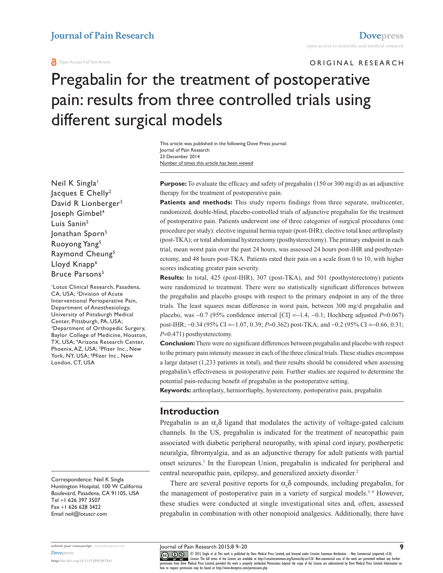#### **O** Open Access Full Text Article

ORIGINAL RESEARCH

# Pregabalin for the treatment of postoperative pain: results from three controlled trials using different surgical models

Number of times this article has been viewed This article was published in the following Dove Press journal: Journal of Pain Research 23 December 2014

Neil K Singla<sup>1</sup> Jacques E Chelly<sup>2</sup> David R Lionberger<sup>3</sup> Joseph Gimbel4 Luis Sanin<sup>5</sup> Jonathan Sporn<sup>5</sup> Ruoyong Yang5 Raymond Cheung<sup>5</sup> Lloyd Knapp<sup>6</sup> Bruce Parsons<sup>5</sup>

1 Lotus Clinical Research, Pasadena, CA, USA; <sup>2</sup> Division of Acute Interventional Perioperative Pain, Department of Anesthesiology, University of Pittsburgh Medical Center, Pittsburgh, PA, USA; 3 Department of Orthopedic Surgery, Baylor College of Medicine, Houston, TX, USA; <sup>4</sup> Arizona Research Center, Phoenix, AZ, USA; <sup>5</sup>Pfizer Inc., New York, NY, USA; <sup>6</sup> Pfizer Inc., New London, CT, USA

Correspondence: Neil K Singla Huntington Hospital, 100 W California Boulevard, Pasadena, CA 91105, USA Tel +1 626 397 3507 Fax +1 626 628 3422 Email [neil@lotuscr.com](mailto:neil@lotuscr.com)

**<http://dx.doi.org/10.2147/JPR.S67841>**

**Purpose:** To evaluate the efficacy and safety of pregabalin (150 or 300 mg/d) as an adjunctive therapy for the treatment of postoperative pain.

**Patients and methods:** This study reports findings from three separate, multicenter, randomized, double-blind, placebo-controlled trials of adjunctive pregabalin for the treatment of postoperative pain. Patients underwent one of three categories of surgical procedures (one procedure per study): elective inguinal hernia repair (post-IHR); elective total knee arthroplasty (post-TKA); or total abdominal hysterectomy (posthysterectomy). The primary endpoint in each trial, mean worst pain over the past 24 hours, was assessed 24 hours post-IHR and posthysterectomy, and 48 hours post-TKA. Patients rated their pain on a scale from 0 to 10, with higher scores indicating greater pain severity.

**Results:** In total, 425 (post-IHR), 307 (post-TKA), and 501 (posthysterectomy) patients were randomized to treatment. There were no statistically significant differences between the pregabalin and placebo groups with respect to the primary endpoint in any of the three trials. The least squares mean difference in worst pain, between 300 mg/d pregabalin and placebo, was  $-0.7$  (95% confidence interval [CI]  $=-1.4$ ,  $-0.1$ ; Hochberg adjusted *P*=0.067) post-IHR; -0.34 (95% CI =-1.07, 0.39; *P*=0.362) post-TKA; and -0.2 (95% CI =-0.66, 0.31; *P*=0.471) posthysterectomy.

**Conclusion:** There were no significant differences between pregabalin and placebo with respect to the primary pain intensity measure in each of the three clinical trials. These studies encompass a large dataset (1,233 patients in total), and their results should be considered when assessing pregabalin's effectiveness in postoperative pain. Further studies are required to determine the potential pain-reducing benefit of pregabalin in the postoperative setting.

**Keywords:** arthroplasty, herniorrhaphy, hysterectomy, postoperative pain, pregabalin

# **Introduction**

Pregabalin is an  $\alpha_2 \delta$  ligand that modulates the activity of voltage-gated calcium channels. In the US, pregabalin is indicated for the treatment of neuropathic pain associated with diabetic peripheral neuropathy, with spinal cord injury, postherpetic neuralgia, fibromyalgia, and as an adjunctive therapy for adult patients with partial onset seizures.<sup>1</sup> In the European Union, pregabalin is indicated for peripheral and central neuropathic pain, epilepsy, and generalized anxiety disorder.<sup>2</sup>

There are several positive reports for  $\alpha_2 \delta$  compounds, including pregabalin, for the management of postoperative pain in a variety of surgical models.<sup>3-9</sup> However, these studies were conducted at single investigational sites and, often, assessed pregabalin in combination with other nonopioid analgesics. Additionally, there have

Journal of Pain Research 2015:8 9–20

CO ODIS Singla et al. This work is published by Dove Medical Press Limited, and licensed under Creative Commons Attribution - Non Commercial (unported, v3.0)<br> [permission from Dove M](http://www.dovepress.com/permissions.php)edical Press Limited, provided the work i how to request permission may be found at:<http://www.dovepress.com/permissions.php>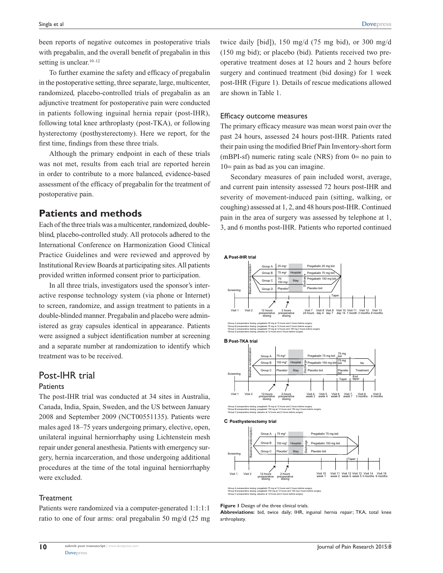been reports of negative outcomes in postoperative trials with pregabalin, and the overall benefit of pregabalin in this setting is unclear.<sup>10-12</sup>

To further examine the safety and efficacy of pregabalin in the postoperative setting, three separate, large, multicenter, randomized, placebo-controlled trials of pregabalin as an adjunctive treatment for postoperative pain were conducted in patients following inguinal hernia repair (post-IHR), following total knee arthroplasty (post-TKA), or following hysterectomy (posthysterectomy). Here we report, for the first time, findings from these three trials.

Although the primary endpoint in each of these trials was not met, results from each trial are reported herein in order to contribute to a more balanced, evidence-based assessment of the efficacy of pregabalin for the treatment of postoperative pain.

# **Patients and methods**

Each of the three trials was a multicenter, randomized, doubleblind, placebo-controlled study. All protocols adhered to the International Conference on Harmonization Good Clinical Practice Guidelines and were reviewed and approved by Institutional Review Boards at participating sites. All patients provided written informed consent prior to participation.

In all three trials, investigators used the sponsor's interactive response technology system (via phone or Internet) to screen, randomize, and assign treatment to patients in a double-blinded manner. Pregabalin and placebo were administered as gray capsules identical in appearance. Patients were assigned a subject identification number at screening and a separate number at randomization to identify which treatment was to be received.

# Post-IHR trial

#### **Patients**

The post-IHR trial was conducted at 34 sites in Australia, Canada, India, Spain, Sweden, and the US between January 2008 and September 2009 (NCT00551135). Patients were males aged 18–75 years undergoing primary, elective, open, unilateral inguinal herniorrhaphy using Lichtenstein mesh repair under general anesthesia. Patients with emergency surgery, hernia incarceration, and those undergoing additional procedures at the time of the total inguinal herniorrhaphy were excluded.

#### **Treatment**

**10**

Patients were randomized via a computer-generated 1:1:1:1 ratio to one of four arms: oral pregabalin 50 mg/d (25 mg twice daily [bid]), 150 mg/d (75 mg bid), or 300 mg/d (150 mg bid); or placebo (bid). Patients received two preoperative treatment doses at 12 hours and 2 hours before surgery and continued treatment (bid dosing) for 1 week post-IHR (Figure 1). Details of rescue medications allowed are shown in Table 1.

#### Efficacy outcome measures

The primary efficacy measure was mean worst pain over the past 24 hours, assessed 24 hours post-IHR. Patients rated their pain using the modified Brief Pain Inventory-short form (mBPI-sf) numeric rating scale (NRS) from 0= no pain to 10= pain as bad as you can imagine.

Secondary measures of pain included worst, average, and current pain intensity assessed 72 hours post-IHR and severity of movement-induced pain (sitting, walking, or coughing) assessed at 1, 2, and 48 hours post-IHR. Continued pain in the area of surgery was assessed by telephone at 1, 3, and 6 months post-IHR. Patients who reported continued





**B Post-TKA trial**



Group A preoperative dosing: pregabalin 75 mg at 12 hours and 2 hours before surgery Group B preoperative dosing: pregabalin 150 mg at 12 hours and 150 mg 2 hours before surgery Group C preoperative dosing: placebo at 12 hours and 2 hours before surgery

#### **C Posthysterectomy trial**



Group A preoperative dosing: pregabalin 75 mg at 12 hours and 2 hours before surgery Group B preoperative dosing: pregabalin 150 mg at 12 hours and 150 mg 2 hours before surgery

#### Group C preoperative dosing: placebo at 12 hours and 2 hours before surgery **Figure 1** Design of the three clinical trials.

**Abbreviations:** bid, twice daily; IHR, inguinal hernia repair; TKA, total knee arthroplasty.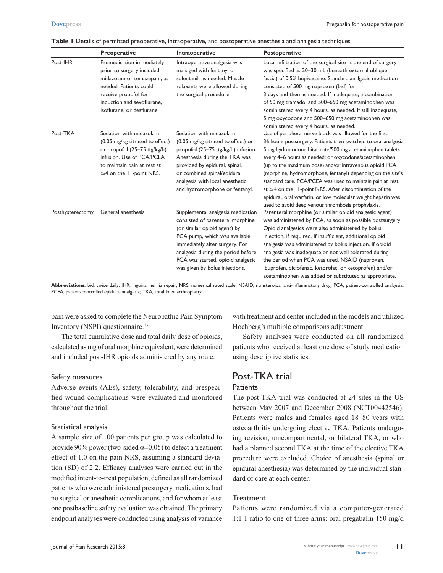|                  | Preoperative                                                                                                                                                                                       | Intraoperative                                                                                                                                                                                                                                                                        | <b>Postoperative</b>                                                                                                                                                                                                                                                                                                                                                                                                                                                                                                                                                                                                       |
|------------------|----------------------------------------------------------------------------------------------------------------------------------------------------------------------------------------------------|---------------------------------------------------------------------------------------------------------------------------------------------------------------------------------------------------------------------------------------------------------------------------------------|----------------------------------------------------------------------------------------------------------------------------------------------------------------------------------------------------------------------------------------------------------------------------------------------------------------------------------------------------------------------------------------------------------------------------------------------------------------------------------------------------------------------------------------------------------------------------------------------------------------------------|
| Post-IHR         | Premedication immediately<br>prior to surgery included<br>midazolam or temazepam, as<br>needed. Patients could<br>receive propofol for<br>induction and sevoflurane,<br>isoflurane, or desflurane. | Intraoperative analgesia was<br>managed with fentanyl or<br>sufentanil, as needed. Muscle<br>relaxants were allowed during<br>the surgical procedure.                                                                                                                                 | Local infiltration of the surgical site at the end of surgery<br>was specified as 20-30 mL (beneath external oblique<br>fascia) of 0.5% bupivacaine. Standard analgesic medication<br>consisted of 500 mg naproxen (bid) for<br>3 days and then as needed. If inadequate, a combination<br>of 50 mg tramadol and 500-650 mg acetaminophen was<br>administered every 4 hours, as needed. If still inadequate,<br>5 mg oxycodone and 500-650 mg acetaminophen was<br>administered every 4 hours, as needed.                                                                                                                  |
| Post-TKA         | Sedation with midazolam<br>(0.05 mg/kg titrated to effect)<br>or propofol (25-75 µg/kg/h)<br>infusion. Use of PCA/PCEA<br>to maintain pain at rest at<br>$\leq$ 4 on the 11-point NRS.             | Sedation with midazolam<br>(0.05 mg/kg titrated to effect) or<br>propofol (25-75 µg/kg/h) infusion.<br>Anesthesia during the TKA was<br>provided by epidural, spinal,<br>or combined spinal/epidural<br>analgesia with local anesthetic<br>and hydromorphone or fentanyl.             | Use of peripheral nerve block was allowed for the first<br>36 hours postsurgery. Patients then switched to oral analgesia<br>5 mg hydrocodone bitartrate/500 mg acetaminophen tablets<br>every 4-6 hours as needed; or oxycodone/acetaminophen<br>(up to the maximum dose) and/or intravenous opioid PCA<br>(morphine, hydromorphone, fentanyl) depending on the site's<br>standard care. PCA/PCEA was used to maintain pain at rest<br>at $\leq$ 4 on the 11-point NRS. After discontinuation of the<br>epidural, oral warfarin, or low molecular weight heparin was<br>used to avoid deep venous thrombosis prophylaxis. |
| Posthysterectomy | General anesthesia                                                                                                                                                                                 | Supplemental analgesia medication<br>consisted of parenteral morphine<br>(or similar opioid agent) by<br>PCA pump, which was available<br>immediately after surgery. For<br>analgesia during the period before<br>PCA was started, opioid analgesic<br>was given by bolus injections. | Parenteral morphine (or similar opioid analgesic agent)<br>was administered by PCA, as soon as possible postsurgery.<br>Opioid analgesics were also administered by bolus<br>injection, if required. If insufficient, additional opioid<br>analgesia was administered by bolus injection. If opioid<br>analgesia was inadequate or not well tolerated during<br>the period when PCA was used, NSAID (naproxen,<br>ibuprofen, diclofenac, ketorolac, or ketoprofen) and/or<br>acetaminophen was added or substituted as appropriate.                                                                                        |

**Table 1** Details of permitted preoperative, intraoperative, and postoperative anesthesia and analgesia techniques

**Abbreviations:** bid, twice daily; IHR, inguinal hernia repair; NRS, numerical rated scale; NSAID, nonsteroidal anti-inflammatory drug; PCA, patient-controlled analgesia; PCEA, patient-controlled epidural analgesia; TKA, total knee arthroplasty.

pain were asked to complete the Neuropathic Pain Symptom Inventory (NSPI) questionnaire.13

The total cumulative dose and total daily dose of opioids, calculated as mg of oral morphine equivalent, were determined and included post-IHR opioids administered by any route.

#### Safety measures

Adverse events (AEs), safety, tolerability, and prespecified wound complications were evaluated and monitored throughout the trial.

#### Statistical analysis

A sample size of 100 patients per group was calculated to provide 90% power (two-sided  $\alpha$ =0.05) to detect a treatment effect of 1.0 on the pain NRS, assuming a standard deviation (SD) of 2.2. Efficacy analyses were carried out in the modified intent-to-treat population, defined as all randomized patients who were administered presurgery medications, had no surgical or anesthetic complications, and for whom at least one postbaseline safety evaluation was obtained. The primary endpoint analyses were conducted using analysis of variance with treatment and center included in the models and utilized Hochberg's multiple comparisons adjustment.

Safety analyses were conducted on all randomized patients who received at least one dose of study medication using descriptive statistics.

### Post-TKA trial **Patients**

The post-TKA trial was conducted at 24 sites in the US between May 2007 and December 2008 (NCT00442546). Patients were males and females aged 18–80 years with osteoarthritis undergoing elective TKA. Patients undergoing revision, unicompartmental, or bilateral TKA, or who had a planned second TKA at the time of the elective TKA procedure were excluded. Choice of anesthesia (spinal or epidural anesthesia) was determined by the individual standard of care at each center.

#### **Treatment**

Patients were randomized via a computer-generated 1:1:1 ratio to one of three arms: oral pregabalin 150 mg/d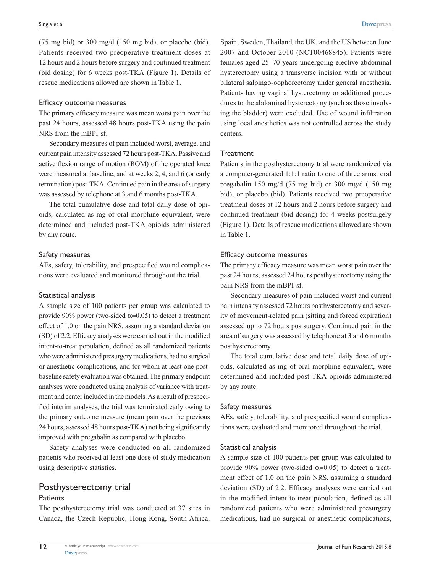(75 mg bid) or 300 mg/d (150 mg bid), or placebo (bid). Patients received two preoperative treatment doses at 12 hours and 2 hours before surgery and continued treatment (bid dosing) for 6 weeks post-TKA (Figure 1). Details of rescue medications allowed are shown in Table 1.

#### Efficacy outcome measures

The primary efficacy measure was mean worst pain over the past 24 hours, assessed 48 hours post-TKA using the pain NRS from the mBPI-sf.

Secondary measures of pain included worst, average, and current pain intensity assessed 72 hours post-TKA. Passive and active flexion range of motion (ROM) of the operated knee were measured at baseline, and at weeks 2, 4, and 6 (or early termination) post-TKA. Continued pain in the area of surgery was assessed by telephone at 3 and 6 months post-TKA.

The total cumulative dose and total daily dose of opioids, calculated as mg of oral morphine equivalent, were determined and included post-TKA opioids administered by any route.

#### Safety measures

AEs, safety, tolerability, and prespecified wound complications were evaluated and monitored throughout the trial.

#### Statistical analysis

A sample size of 100 patients per group was calculated to provide 90% power (two-sided  $\alpha$ =0.05) to detect a treatment effect of 1.0 on the pain NRS, assuming a standard deviation (SD) of 2.2. Efficacy analyses were carried out in the modified intent-to-treat population, defined as all randomized patients who were administered presurgery medications, had no surgical or anesthetic complications, and for whom at least one postbaseline safety evaluation was obtained. The primary endpoint analyses were conducted using analysis of variance with treatment and center included in the models. As a result of prespecified interim analyses, the trial was terminated early owing to the primary outcome measure (mean pain over the previous 24 hours, assessed 48 hours post-TKA) not being significantly improved with pregabalin as compared with placebo.

Safety analyses were conducted on all randomized patients who received at least one dose of study medication using descriptive statistics.

#### Posthysterectomy trial **Patients**

The posthysterectomy trial was conducted at 37 sites in Canada, the Czech Republic, Hong Kong, South Africa,

Spain, Sweden, Thailand, the UK, and the US between June 2007 and October 2010 (NCT00468845). Patients were females aged 25–70 years undergoing elective abdominal hysterectomy using a transverse incision with or without bilateral salpingo-oophorectomy under general anesthesia. Patients having vaginal hysterectomy or additional procedures to the abdominal hysterectomy (such as those involving the bladder) were excluded. Use of wound infiltration using local anesthetics was not controlled across the study centers.

#### **Treatment**

Patients in the posthysterectomy trial were randomized via a computer-generated 1:1:1 ratio to one of three arms: oral pregabalin 150 mg/d (75 mg bid) or 300 mg/d (150 mg bid), or placebo (bid). Patients received two preoperative treatment doses at 12 hours and 2 hours before surgery and continued treatment (bid dosing) for 4 weeks postsurgery (Figure 1). Details of rescue medications allowed are shown in Table 1.

#### Efficacy outcome measures

The primary efficacy measure was mean worst pain over the past 24 hours, assessed 24 hours posthysterectomy using the pain NRS from the mBPI-sf.

Secondary measures of pain included worst and current pain intensity assessed 72 hours posthysterectomy and severity of movement-related pain (sitting and forced expiration) assessed up to 72 hours postsurgery. Continued pain in the area of surgery was assessed by telephone at 3 and 6 months posthysterectomy.

The total cumulative dose and total daily dose of opioids, calculated as mg of oral morphine equivalent, were determined and included post-TKA opioids administered by any route.

#### Safety measures

AEs, safety, tolerability, and prespecified wound complications were evaluated and monitored throughout the trial.

#### Statistical analysis

A sample size of 100 patients per group was calculated to provide 90% power (two-sided  $\alpha$ =0.05) to detect a treatment effect of 1.0 on the pain NRS, assuming a standard deviation (SD) of 2.2. Efficacy analyses were carried out in the modified intent-to-treat population, defined as all randomized patients who were administered presurgery medications, had no surgical or anesthetic complications,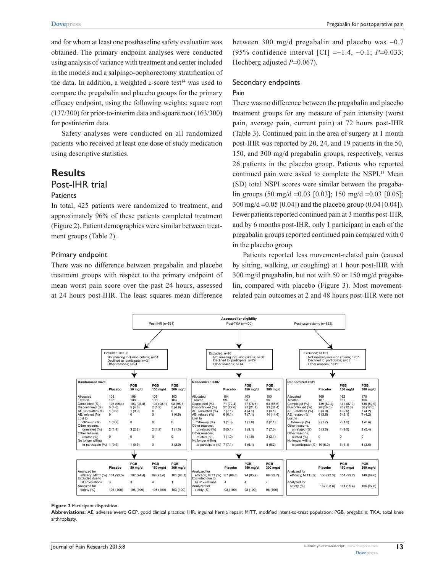and for whom at least one postbaseline safety evaluation was obtained. The primary endpoint analyses were conducted using analysis of variance with treatment and center included in the models and a salpingo-oophorectomy stratification of the data. In addition, a weighted *z*-score test<sup>14</sup> was used to compare the pregabalin and placebo groups for the primary efficacy endpoint, using the following weights: square root (137/300) for prior-to-interim data and square root (163/300) for postinterim data.

Safety analyses were conducted on all randomized patients who received at least one dose of study medication using descriptive statistics.

# **Results** Post-IHR trial

#### **Patients**

In total, 425 patients were randomized to treatment, and approximately 96% of these patients completed treatment (Figure 2). Patient demographics were similar between treatment groups (Table 2).

#### Primary endpoint

There was no difference between pregabalin and placebo treatment groups with respect to the primary endpoint of mean worst pain score over the past 24 hours, assessed at 24 hours post-IHR. The least squares mean difference

between 300 mg/d pregabalin and placebo was  $-0.7$ (95% confidence interval [CI] =-1.4, -0.1; *P*=0.033; Hochberg adjusted *P*=0.067).

#### Secondary endpoints

#### Pain

There was no difference between the pregabalin and placebo treatment groups for any measure of pain intensity (worst pain, average pain, current pain) at 72 hours post-IHR (Table 3). Continued pain in the area of surgery at 1 month post-IHR was reported by 20, 24, and 19 patients in the 50, 150, and 300 mg/d pregabalin groups, respectively, versus 26 patients in the placebo group. Patients who reported continued pain were asked to complete the NSPI.13 Mean (SD) total NSPI scores were similar between the pregabalin groups (50 mg/d =0.03 [0.03]; 150 mg/d =0.03 [0.05]; 300 mg/d =0.05 [0.04]) and the placebo group (0.04 [0.04]). Fewer patients reported continued pain at 3 months post-IHR, and by 6 months post-IHR, only 1 participant in each of the pregabalin groups reported continued pain compared with 0 in the placebo group.

Patients reported less movement-related pain (caused by sitting, walking, or coughing) at 1 hour post-IHR with 300 mg/d pregabalin, but not with 50 or 150 mg/d pregabalin, compared with placebo (Figure 3). Most movementrelated pain outcomes at 2 and 48 hours post-IHR were not



#### **Figure 2** Participant disposition.

**Abbreviations:** AE, adverse event; GCP, good clinical practice; IHR, inguinal hernia repair; MITT, modified intent-to-treat population; PGB, pregabalin; TKA, total knee arthroplasty.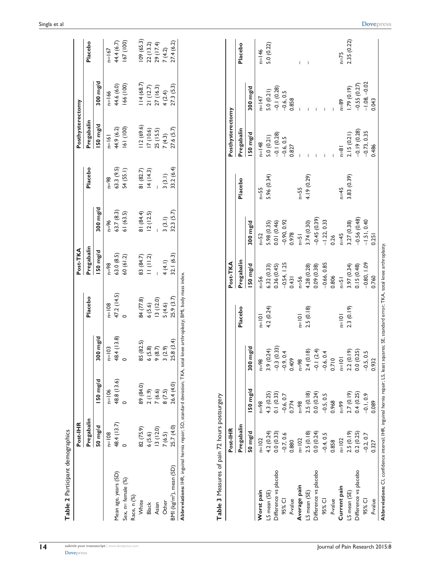| Table 2 Participant demographics              |                             |             |                                   |             |                        |               |             |                         |                              |             |
|-----------------------------------------------|-----------------------------|-------------|-----------------------------------|-------------|------------------------|---------------|-------------|-------------------------|------------------------------|-------------|
|                                               | Post-IHR                    |             |                                   |             | Post-TKA               |               |             | Posthysterectomy        |                              |             |
|                                               | Pregabalin                  |             |                                   | Placebo     | Pregabalin             |               | Placebo     | Pregabalin              |                              | Placebo     |
|                                               | 50 mg/d                     | 150 mg/d    | 300 mg/d                          |             | I50 mg/d               | $300$ mg/d    |             | 150 mg/d                | $300 \, mg/d$                |             |
|                                               | $n=108$                     | $n=106$     | $n=103$                           | $n = 108$   | $98 = n$               | $n = 96$      | $n = 98$    | $n=161$                 | $n = 166$                    | $n=167$     |
| Mean age, years (SD)                          | 48.4 (13.7)                 | 48.8 (13.6) | 48.4 (13.8)                       | 47.2 (14.5) | 63.0 (8.5)             | 63.7(8.3)     | 63.3 (9.5)  |                         |                              | 44.4 (6.7)  |
| Sex, n= female (%)                            | $\circ$                     | $\circ$     | $\circ$                           | $\circ$     | 60(61.2)               | 61 (63.5)     | 54 (55.1)   | 44.9 (6.2)<br>161 (100) | 44.6 (6.0)<br>166 (100)      | 167 (100)   |
| Race, n (%)                                   |                             |             |                                   |             |                        |               |             |                         |                              |             |
| White                                         | 82 (75.9)                   | 89 (84.0)   | 85 (82.5)                         | 84 (77.8)   |                        | 81 (84.4)     | 81 (82.7)   | 112(69.6)               | 114(68.7)                    | 109(65.3)   |
| <b>Black</b>                                  | 6(5.6)                      | 2(1.9)      | 6(5.8)                            | 6(5.6)      | 83 (84.7)<br>II (II.2) | 12(12.5)      | 14(14.3)    | 17 (10.6)               | 21(12.7)                     | 22(13.2)    |
| Asian                                         | 13(12.0)                    | 7(6.6)      | 9(8.7)                            | 13(12.0)    |                        |               |             | 25 (15.5)               | 27 (16.3)                    | 29 (17.4)   |
| Other                                         | 7(6.5)                      | 8(7.5)      | 3(2.9)                            | 5(4.6)      | 4 (4.1)                | 3(3.1)        | 3(3.1)      | 7(4.3)                  | 4(2.4)                       | 7(4.2)      |
| $BM$ (kg/m <sup>2</sup> ), mean (SD)          | 25.7 (4.0)                  | 26.4 (4.0)  | 25.8(3.4)                         | 25.9 (3.7)  | 32.1(6.3)              | 32.3(5.7)     | 33.2(6.4)   | 27.6(5.7)               | 27.3(5.3)                    | 27.4 (6.2)  |
| Table 3 Measures of pain 72 hours postsurgery |                             |             |                                   |             |                        |               |             |                         |                              |             |
|                                               |                             |             |                                   |             |                        |               |             |                         |                              |             |
|                                               | Post-IHR                    |             |                                   |             | Post-TKA               |               |             | Posthysterectomy        |                              |             |
|                                               | Pregabalin                  |             |                                   | Placebo     | Pregabalin             |               | Placebo     | Pregabalin              |                              | Placebo     |
|                                               | 50 mg/d                     | 150 mg/d    | $300$ mg/d                        |             | 150 mg/d               | $300$ mg/d    |             | 150 mg/d                | $300 \, mg/d$                |             |
| Worst pain                                    | $n=102$                     | $n = 98$    | $n=98$                            | $n=101$     | $n=56$                 | $n = 52$      | $n=55$      | $n = 148$               | $n=147$                      | $n=146$     |
| LS mean (SE)                                  | 4.2(0.24)                   | 4.3 (0.25)  | (0.24)<br>3.9                     | 4.2 (0.24)  | 6.32(0.33)             | 5.98 (0.35)   | 5.96 (0.34) | 5.0(0.21)               |                              | 5.0 (0.22)  |
| Difference vs placebo                         | 0.0(0.33)                   | 0.1(0.33)   | $-0.3(0.33)$                      |             | 0.36(0.45)             | 0.01 (0.46)   |             | $-0.1(0.28)$            | $5.0(0.21)$<br>-0.1 (0.28)   |             |
| 95% CI                                        | $-0.7, 0.6$                 | $-0.6, 0.7$ | $-0.9, 0.4$                       |             | $-0.54, 1.25$          | $-0.90, 0.92$ |             | $-0.6, 0.5$             | $-0.6, 0.5$                  |             |
| P-value                                       | 0.880                       | 0.774       | 0.409                             |             | 0.431                  | 0.978         |             | 0.827                   | 0.858                        |             |
| Average pain                                  | $n=102$                     | $n = 98$    | $n=98$                            | $n=101$     | $n=56$                 | $n=51$        | $n=55$      |                         |                              |             |
| LS mean (SE)                                  | 2.5(0.18)                   | 2.5(0.18)   | (0.18)<br>2.4                     | 2.5(0.18)   | 4.28 (0.28)            | 3.74 (0.30)   | 4.19 (0.29) |                         |                              |             |
| Difference vs placebo                         | 0.0(0.24)                   | 0.0(0.24)   | $-0.1(2.4)$                       |             | 0.09 (0.38)            | $-0.45(0.39)$ |             |                         |                              |             |
| 95% CI                                        | $-0.4, 0.5$                 | $-0.5, 0.5$ | 6, 0.4                            |             | $-0.66, 0.85$          | $-1.22, 0.33$ |             |                         |                              |             |
| P-value                                       | 0.858                       | 0.968       | $-0.6, 0$<br>0.710                |             | 0.806                  | 0.26          |             |                         |                              |             |
| Current pain                                  | $n=102$                     | $66 = 01$   | $n=101$                           | $n=101$     | $F=\infty$             | $n=45$        | $n=45$      | $n=81$                  | $n = 89$                     | $n=75$      |
| LS mean (SE)                                  | $2.5(0.19)$<br>0.2 $(0.25)$ | 2.7(0.19)   | 2 (0.19)<br>0 (0.25)<br>$2.3$ 0.0 | 2.3(0.19)   | 3.97 (0.34)            | 3.27 (0.38)   | 3.83 (0.39) | 2.15(0.21)              | $1.79(0.19)$<br>-0.55 (0.27) | 2.35 (0.22) |
| Difference vs placebo                         |                             | 0.4(0.25)   |                                   |             | 0.15(0.48)             | $-0.56(0.48)$ |             | $-0.19(0.28)$           |                              |             |
| 95% CI                                        | $-0.2, 0.7$                 | $-0.1, 0.9$ | $-0.5, 0.5$<br>0.932              |             | $-0.80, 1.09$          | $-1.51, 0.40$ |             | $-0.73, 0.35$           | $-1.08, -0.02$               |             |
| P-value                                       | 0.327                       | 0.089       |                                   |             | 0.760                  | 0.251         |             | 0.486                   | 0.043                        |             |

**[Dovepress](www.dovepress.com)** 

**Abbreviations:** CI, confidence interval; IHR, inguinal hernia repair; LS, least squares; SE, standard error; TKA, total knee arthroplasty.

Abbreviations: CI, confidence interval; IHR, inguinal hernia repair; LS, least squares; SE, standard error; TKA, total knee arthroplasty.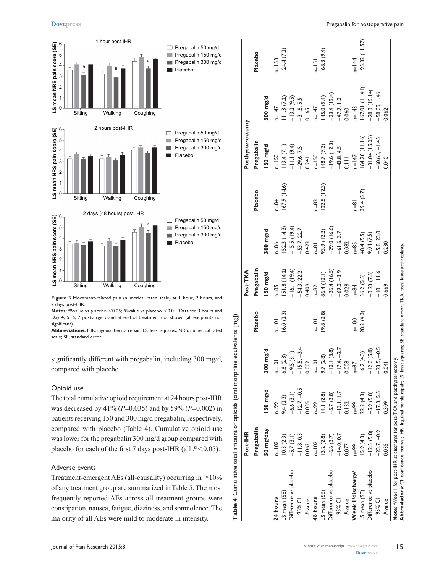

**Figure 3** Movement-related pain (numerical rated scale) at 1 hour, 2 hours, and 2 days post-IHR.

**Notes:** <sup>a</sup>P-value vs placebo <0.05; <sup>b</sup>P-value vs placebo <0.01. Data for 3 hours and Day 4, 5, 6, 7 postsurgery and at end of treatment not shown (all endpoints not significant).

**Abbreviations:** IHR, inguinal hernia repair; LS, least squares; NRS, numerical rated scale; SE, standard error.

significantly different with pregabalin, including 300 mg/d, compared with placebo.

#### Opioid use

The total cumulative opioid requirement at 24 hours post-IHR was decreased by 41% (*P*=0.035) and by 59% (*P*=0.002) in patients receiving 150 and 300 mg/d pregabalin, respectively, compared with placebo (Table 4). Cumulative opioid use was lower for the pregabalin 300 mg/d group compared with placebo for each of the first 7 days post-IHR (all  $P$ <0.05).

#### Adverse events

Treatment-emergent AEs (all-causality) occurring in  $\geq$ 10% of any treatment group are summarized in Table 5. The most frequently reported AEs across all treatment groups were constipation, nausea, fatigue, dizziness, and somnolence. The majority of all AEs were mild to moderate in intensity.

|                               | Post-IHR      |               |                               |            | Post-TKA      |                    |               | Posthysterectomy |                               |              |
|-------------------------------|---------------|---------------|-------------------------------|------------|---------------|--------------------|---------------|------------------|-------------------------------|--------------|
|                               | Pregabalin    |               |                               | Placebo    | Pregabalin    |                    | Placebo       | Pregabalin       |                               | Placebo      |
|                               | 50 mg/day     | $50$ mg/d     | mg/d<br>300                   |            | 50 mg/d       | $300 \text{ mg/d}$ |               | 50 mg/d          | 300 mg/d                      |              |
| 24 hours                      | $n=102$       | $66 = 10$     | $n=101$                       | $n=101$    | $n = 85$      | $n = 86$           | $n = 84$      | $n = 150$        | $I = 147$                     | $n=153$      |
| LS mean (SE)                  | (0.3)(2.3)    | 9.4(2.3)      | (2.3)<br>6.6                  | 16.0(2.3)  | 51.8(14.2)    | 52.3 (14.3)        | 67.9 (14.6)   | 13.4 (7.1)       | 11.3(7.2)                     | 124.4(7.2)   |
| Difference vs placebo         | $-5.7(3.1)$   | $-6.6(3.1)$   | $-9.5(3.1)$                   |            | $-16.1(19.4)$ | $-15.5(19.4)$      |               | $-11.1(9.4)$     | $-13.2(9.5)$                  |              |
| 95% CI                        | $-11.8, 0.3$  | $-12.7, -0.5$ |                               |            | $-54.3, 22.2$ | $-53.7, 22.7$      |               | $-29.6, 7.5$     | $-31.8, 5.5$                  |              |
| P-value                       | 0.063         | 0.035         | $15.5, -3.4$<br>0.002         |            | 0.409         | 0.423              |               | 0.241            | 0.165                         |              |
| 48 hours                      | $n = 102$     | $n = 99$      | $n=101$                       | $n=101$    | $n = 82$      | $\frac{1}{2}$      | n=83          | $n = 150$        | $n=147$                       | $n = 151$    |
| LS mean (SE)                  | 13.2(2.8)     | 14.1(2.8)     | (2.8)<br>$\overline{56}$      | (9.8)(2.8) | 86.4 (12.1)   | 93.9 (12.3)        | 122.8(12.3)   | 148.7 (9.2)      | 145.0 (9.4)                   | 68.3 (9.4)   |
| Difference vs placebo         | $-6.6(3.7)$   | $-5.7(3.8)$   | .1(3.8)<br>$\frac{1}{\alpha}$ |            | $-36.4(16.5)$ | $-29.0(16.6)$      |               | $-19.6(12.3)$    | $-23.4(12.4)$<br>$-47.7, 1.0$ |              |
| 95% CI                        | $-14.0, 0.7$  | $-13.1, 1.7$  |                               |            | $-69.0, -3.9$ | $-61.6, 3.7$       |               | $-43.8, 4.5$     |                               |              |
| P-value                       | 0.077         | 0.132         | $-17.4, -2.7$                 |            | 0.028         | 0.082              |               | $\equiv$         | 0.060                         |              |
| Week I/discharge <sup>a</sup> | $n=99$        | $n=99$        | $n=97$                        | $n = 100$  | $n = 84$      | $n=85$             | $\frac{1}{2}$ | $n=147$          | $n=143$                       | $n=144$      |
| LS mean (SE)                  | 15.9(4.3)     | 22.2 (4.3)    | 16.2(4.3)                     | 28.2 (4.3) | 36.2(5.5)     | 48.4 (5.5)         | 39.4(5.7)     | 64.28 (11.16)    | (11.41) (167.01)              | 95.32(11.57) |
| Difference vs placebo         | $-12.3(5.8)$  | $-5.9(5.8)$   | .0(5.8)<br>$\frac{1}{2}$      |            | $-3.23(7.5)$  | 9.04(7.5)          |               | $-31.04(15.05)$  | $-28.3(15.14)$                |              |
| 95% CI                        | $-23.7, -0.9$ | $-17.3, 5.5$  | $-23.5, -0.5$                 |            | $-18.1, 11.6$ | $-5.8, 23.8$       |               | $60.63, -1.45$   | $-58.09, 1.46$                |              |
| P-value                       | 0.035         | 0.309         | 0.04                          |            | 0.669         | 0.230              |               | 0.040            | 0.062                         |              |

**[Dovepress](www.dovepress.com)** 

**Abbreviations:** CI, confidence interval; IHR, inguinal hernia repair; LS, least squares; SE, standard error; TKA, total knee arthroplasty.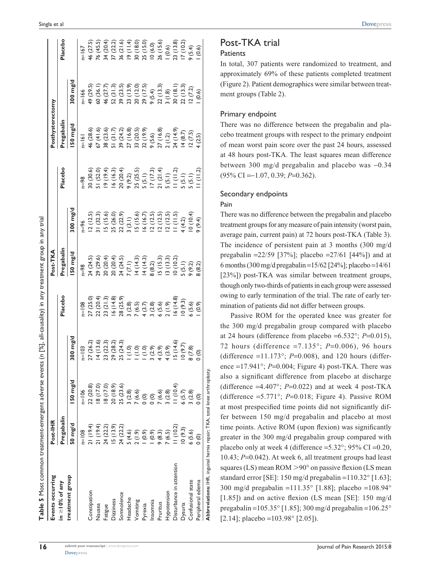| $300 \, mg/d$<br>$[ \begin{matrix} 1 & 0 & 0 & 0 \\ 0 & 0 & 0 & 0 \\ 0 & 0 & 0 & 0 \\ 0 & 0 & 0 & 0 \\ 0 & 0 & 0 & 0 \\ 0 & 0 & 0 & 0 \\ 0 & 0 & 0 & 0 \\ 0 & 0 & 0 & 0 \\ 0 & 0 & 0 & 0 \\ 0 & 0 & 0 & 0 \\ 0 & 0 & 0 & 0 \\ 0 & 0 & 0 & 0 \\ 0 & 0 & 0 & 0 \\ 0 & 0 & 0 & 0 \\ 0 & 0 & 0 & 0 \\ 0 & 0 & 0 & 0 \\ 0 & 0 & 0 & 0 \\ 0 & 0 & 0 & $<br>150 mg/d<br>(10.4)<br>25 (23.6)<br>22(20.8)<br>(17.0)<br>(17.0)<br>20 (18.9)<br>(2.8)<br>(2.8)<br>(5.7)<br>$n=106$<br>(6.6)<br>(6.6)<br>$\odot$<br>$\odot$<br>$\frac{8}{9}$<br>Pregabalin<br>$50 \, mg/d$<br>(19.4)<br>21(19.4)<br>24 (22.2)<br>(3.9)<br>24 (22.2)<br>(10.2)<br>(9.3)<br>(0.9)<br>$n=108$<br>(4.6)<br>(1.9)<br>(0.9)<br>(8.3)<br>(6.5)<br>Disturbance in attention<br>treatment group<br>in $\geq$ 10% of any<br>Constipation<br>Hypotension<br>Somnolence<br>Headache<br>Dizziness<br>Vomiting<br>Insomnia<br>Pruritus<br>Dysuria<br>Nausea<br>Pyrexia<br>Fatigue |                                                                                                                                         | Post-TKA                                                                                                                            |                                                                                                                                                                                    |                                                                                                                                 | Posthysterectomy                                                                                                      |                                                                                                                                                                                                                                 |                                                                                                                                                     |
|-----------------------------------------------------------------------------------------------------------------------------------------------------------------------------------------------------------------------------------------------------------------------------------------------------------------------------------------------------------------------------------------------------------------------------------------------------------------------------------------------------------------------------------------------------------------------------------------------------------------------------------------------------------------------------------------------------------------------------------------------------------------------------------------------------------------------------------------------------------------------------------------------------------------------------------------|-----------------------------------------------------------------------------------------------------------------------------------------|-------------------------------------------------------------------------------------------------------------------------------------|------------------------------------------------------------------------------------------------------------------------------------------------------------------------------------|---------------------------------------------------------------------------------------------------------------------------------|-----------------------------------------------------------------------------------------------------------------------|---------------------------------------------------------------------------------------------------------------------------------------------------------------------------------------------------------------------------------|-----------------------------------------------------------------------------------------------------------------------------------------------------|
|                                                                                                                                                                                                                                                                                                                                                                                                                                                                                                                                                                                                                                                                                                                                                                                                                                                                                                                                         | Placebo                                                                                                                                 | <b>Pregabalin</b>                                                                                                                   |                                                                                                                                                                                    | Placebo                                                                                                                         | regabalin                                                                                                             |                                                                                                                                                                                                                                 | Placebo                                                                                                                                             |
|                                                                                                                                                                                                                                                                                                                                                                                                                                                                                                                                                                                                                                                                                                                                                                                                                                                                                                                                         |                                                                                                                                         | 50 mg/d                                                                                                                             | mg/d                                                                                                                                                                               |                                                                                                                                 | 50 mg/d                                                                                                               | $500 \, \text{mg/d}$                                                                                                                                                                                                            |                                                                                                                                                     |
|                                                                                                                                                                                                                                                                                                                                                                                                                                                                                                                                                                                                                                                                                                                                                                                                                                                                                                                                         |                                                                                                                                         |                                                                                                                                     | 96                                                                                                                                                                                 | $86 = 1$                                                                                                                        | $= 161$                                                                                                               | $n=166$                                                                                                                                                                                                                         | 167                                                                                                                                                 |
|                                                                                                                                                                                                                                                                                                                                                                                                                                                                                                                                                                                                                                                                                                                                                                                                                                                                                                                                         | $n=108$<br>27 (25.0)<br>27 (20.4)<br>22 (20.4)<br>23 (2.4)<br>3 (2.8)<br>3 (2.8)<br>4 (3.6)<br>4 (5.6)<br>4 (5.6)<br>4 (6.5)<br>6 (5.6) | $n=98$<br>24 (24.5)<br>29 (20.4)<br>29 (20.4)<br>29 (20.4)<br>29 (3.5)<br>24 (13.3)<br>29 (3.5)<br>29 (3.5)<br>29 (3.2)<br>29 (3.2) |                                                                                                                                                                                    | 30 (30.6)<br>51 (52.0)<br>19 (19.4)<br>19 (19.5)<br>19 (13.5)<br>9 (1.5)<br>5 (5.1)<br>5 (5.1)<br>5 (5.1)<br>5 (5.1)<br>5 (5.1) |                                                                                                                       |                                                                                                                                                                                                                                 |                                                                                                                                                     |
|                                                                                                                                                                                                                                                                                                                                                                                                                                                                                                                                                                                                                                                                                                                                                                                                                                                                                                                                         |                                                                                                                                         |                                                                                                                                     |                                                                                                                                                                                    |                                                                                                                                 |                                                                                                                       |                                                                                                                                                                                                                                 |                                                                                                                                                     |
|                                                                                                                                                                                                                                                                                                                                                                                                                                                                                                                                                                                                                                                                                                                                                                                                                                                                                                                                         |                                                                                                                                         |                                                                                                                                     |                                                                                                                                                                                    |                                                                                                                                 |                                                                                                                       |                                                                                                                                                                                                                                 |                                                                                                                                                     |
|                                                                                                                                                                                                                                                                                                                                                                                                                                                                                                                                                                                                                                                                                                                                                                                                                                                                                                                                         |                                                                                                                                         |                                                                                                                                     |                                                                                                                                                                                    |                                                                                                                                 |                                                                                                                       |                                                                                                                                                                                                                                 |                                                                                                                                                     |
|                                                                                                                                                                                                                                                                                                                                                                                                                                                                                                                                                                                                                                                                                                                                                                                                                                                                                                                                         |                                                                                                                                         |                                                                                                                                     |                                                                                                                                                                                    |                                                                                                                                 |                                                                                                                       |                                                                                                                                                                                                                                 |                                                                                                                                                     |
|                                                                                                                                                                                                                                                                                                                                                                                                                                                                                                                                                                                                                                                                                                                                                                                                                                                                                                                                         |                                                                                                                                         |                                                                                                                                     |                                                                                                                                                                                    |                                                                                                                                 |                                                                                                                       |                                                                                                                                                                                                                                 |                                                                                                                                                     |
|                                                                                                                                                                                                                                                                                                                                                                                                                                                                                                                                                                                                                                                                                                                                                                                                                                                                                                                                         |                                                                                                                                         |                                                                                                                                     |                                                                                                                                                                                    |                                                                                                                                 |                                                                                                                       |                                                                                                                                                                                                                                 |                                                                                                                                                     |
|                                                                                                                                                                                                                                                                                                                                                                                                                                                                                                                                                                                                                                                                                                                                                                                                                                                                                                                                         |                                                                                                                                         |                                                                                                                                     |                                                                                                                                                                                    |                                                                                                                                 |                                                                                                                       |                                                                                                                                                                                                                                 |                                                                                                                                                     |
|                                                                                                                                                                                                                                                                                                                                                                                                                                                                                                                                                                                                                                                                                                                                                                                                                                                                                                                                         |                                                                                                                                         |                                                                                                                                     |                                                                                                                                                                                    |                                                                                                                                 |                                                                                                                       |                                                                                                                                                                                                                                 |                                                                                                                                                     |
|                                                                                                                                                                                                                                                                                                                                                                                                                                                                                                                                                                                                                                                                                                                                                                                                                                                                                                                                         |                                                                                                                                         |                                                                                                                                     | 12 (12.5)<br>13 (13.2)<br>15 (15.6)<br>15 (15.6)<br>16 (15.6)<br>16 (15.7)<br>17 (12.5)<br>17 (15.7)<br>17 (15.7)<br>17 (16.4)<br>17 (16.4)<br>17 (16.4)<br>17 (16.4)<br>17 (16.4) |                                                                                                                                 | 46 (28.6)<br>57 (41.6)<br>38 (23.6)<br>38 (24.2)<br>39 (16.8)<br>37 (16.8)<br>27 (1.4.9)<br>27 (1.4,02.5)<br>24 (2.5) | $49 (29.5) \n60 (36.1) \n60 (36.1) \n61 (27.7) \n62 (21.3) \n63 (23.5) \n64 (27.7) \n65 (21.3) \n66 (21.4) \n67 (21.5) \n68 (21.6) \n69 (21.7) \n60 (21.7) \n61 (21.6) \n72 (21.3) \n83 (21.3) \n94 (21.3) \n10 (20.6) \n11 (2$ | 46 (27.5)<br>76 (45.5)<br>76 (20.4)<br>37 (21.6) (31.6)<br>8 (31.6) (31.6)<br>9 (31.6) (31.6)<br>9 (34.6) (3.6)<br>9 (3.6)   0.6)<br>9 (3.6)   0.6) |
|                                                                                                                                                                                                                                                                                                                                                                                                                                                                                                                                                                                                                                                                                                                                                                                                                                                                                                                                         |                                                                                                                                         |                                                                                                                                     |                                                                                                                                                                                    |                                                                                                                                 |                                                                                                                       |                                                                                                                                                                                                                                 |                                                                                                                                                     |
|                                                                                                                                                                                                                                                                                                                                                                                                                                                                                                                                                                                                                                                                                                                                                                                                                                                                                                                                         |                                                                                                                                         |                                                                                                                                     |                                                                                                                                                                                    |                                                                                                                                 |                                                                                                                       |                                                                                                                                                                                                                                 |                                                                                                                                                     |
|                                                                                                                                                                                                                                                                                                                                                                                                                                                                                                                                                                                                                                                                                                                                                                                                                                                                                                                                         |                                                                                                                                         |                                                                                                                                     |                                                                                                                                                                                    |                                                                                                                                 |                                                                                                                       |                                                                                                                                                                                                                                 |                                                                                                                                                     |
| (2.8)<br>6(5.6)<br>Confusional state                                                                                                                                                                                                                                                                                                                                                                                                                                                                                                                                                                                                                                                                                                                                                                                                                                                                                                    |                                                                                                                                         |                                                                                                                                     |                                                                                                                                                                                    |                                                                                                                                 |                                                                                                                       |                                                                                                                                                                                                                                 |                                                                                                                                                     |
| $\widehat{\mathsf{e}}$<br><u>ල</u><br>0<br>Peripheral edema                                                                                                                                                                                                                                                                                                                                                                                                                                                                                                                                                                                                                                                                                                                                                                                                                                                                             |                                                                                                                                         |                                                                                                                                     |                                                                                                                                                                                    |                                                                                                                                 |                                                                                                                       |                                                                                                                                                                                                                                 |                                                                                                                                                     |

| <b>Dove</b> press |  |  |
|-------------------|--|--|
|                   |  |  |

#### Post-TKA trial **Patients**

In total, 307 patients were randomized to treatment, and approximately 69% of these patients completed treatment (Figure 2). Patient demographics were similar between treatment groups (Table 2).

#### Primary endpoint

There was no difference between the pregabalin and placebo treatment groups with respect to the primary endpoint of mean worst pain score over the past 24 hours, assessed at 48 hours post-TKA. The least squares mean difference between 300 mg/d pregabalin and placebo was  $-0.34$ (95% CI =-1.07, 0.39; *P*=0.362).

#### Secondary endpoints

#### Pain

There was no difference between the pregabalin and placebo treatment groups for any measure of pain intensity (worst pain, average pain, current pain) at 72 hours post-TKA (Table 3). The incidence of persistent pain at 3 months (300 mg/d pregabalin =22/59 [37%]; placebo =27/61 [44%]) and at 6 months (300 mg/d pregabalin =15/62 [24%]; placebo =14/61 [23%]) post-TKA was similar between treatment groups, though only two-thirds of patients in each group were assessed owing to early termination of the trial. The rate of early termination of patients did not differ between groups.

Passive ROM for the operated knee was greater for the 300 mg/d pregabalin group compared with placebo at 24 hours (difference from placebo = $6.532^{\circ}$ ; *P*= $0.015$ ), 72 hours (difference =7.135°; *P*=0.006), 96 hours (difference  $=11.173^{\circ}$ ; *P*=0.008), and 120 hours (difference  $=17.941^{\circ}$ ; *P*=0.004; Figure 4) post-TKA. There was also a significant difference from placebo at discharge (difference  $=4.407^{\circ}$ ; *P*=0.022) and at week 4 post-TKA (difference  $=5.771^{\circ}$ ; *P*=0.018; Figure 4). Passive ROM at most prespecified time points did not significantly differ between 150 mg/d pregabalin and placebo at most time points. Active ROM (upon flexion) was significantly greater in the 300 mg/d pregabalin group compared with placebo only at week 4 (difference =  $5.32^{\circ}$ ; 95% CI = 0.20, 10.43; *P*=0.042). At week 6, all treatment groups had least squares (LS) mean ROM  $>90^{\circ}$  on passive flexion (LS mean standard error [SE]: 150 mg/d pregabalin =110.32° [1.63]; 300 mg/d pregabalin =111.35° [1.88]; placebo =108.94° [1.85]) and on active flexion (LS mean [SE]: 150 mg/d pregabalin =105.35° [1.85]; 300 mg/d pregabalin =106.25°  $[2.14]$ ; placebo =103.98 $^{\circ}$  [2.05]).

**16**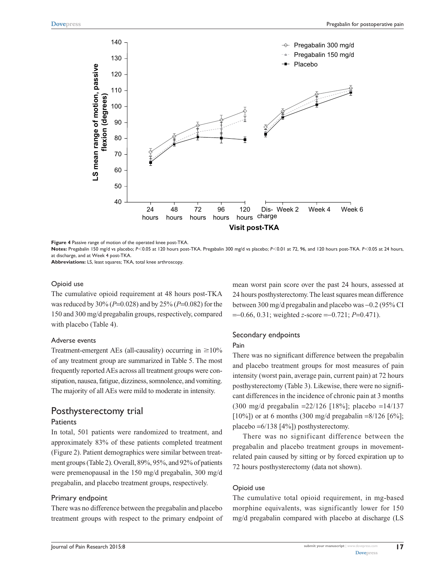

**Figure 4** Passive range of motion of the operated knee post-TKA.

Notes: Pregabalin 150 mg/d vs placebo; *P*<0.05 at 120 hours post-TKA. Pregabalin 300 mg/d vs placebo; *P*<0.01 at 72, 96, and 120 hours post-TKA. *P*<0.05 at 24 hours, at discharge, and at Week 4 post-TKA.

**Abbreviations:** LS, least squares; TKA, total knee arthroscopy.

#### Opioid use

The cumulative opioid requirement at 48 hours post-TKA was reduced by 30% (*P*=0.028) and by 25% (*P*=0.082) for the 150 and 300 mg/d pregabalin groups, respectively, compared with placebo (Table 4).

#### Adverse events

Treatment-emergent AEs (all-causality) occurring in  $\geq 10\%$ of any treatment group are summarized in Table 5. The most frequently reported AEs across all treatment groups were constipation, nausea, fatigue, dizziness, somnolence, and vomiting. The majority of all AEs were mild to moderate in intensity.

# Posthysterectomy trial

#### **Patients**

In total, 501 patients were randomized to treatment, and approximately 83% of these patients completed treatment (Figure 2). Patient demographics were similar between treatment groups (Table 2). Overall, 89%, 95%, and 92% of patients were premenopausal in the 150 mg/d pregabalin, 300 mg/d pregabalin, and placebo treatment groups, respectively.

#### Primary endpoint

There was no difference between the pregabalin and placebo treatment groups with respect to the primary endpoint of mean worst pain score over the past 24 hours, assessed at 24 hours posthysterectomy. The least squares mean difference between 300 mg/d pregabalin and placebo was -0.2 (95% CI =-0.66, 0.31; weighted *z*-score =-0.721; *P*=0.471).

#### Secondary endpoints

#### Pain

There was no significant difference between the pregabalin and placebo treatment groups for most measures of pain intensity (worst pain, average pain, current pain) at 72 hours posthysterectomy (Table 3). Likewise, there were no significant differences in the incidence of chronic pain at 3 months (300 mg/d pregabalin =22/126 [18%]; placebo =14/137  $[10\%]$ ) or at 6 months (300 mg/d pregabalin =8/126 [6%]; placebo =6/138 [4%]) posthysterectomy.

There was no significant difference between the pregabalin and placebo treatment groups in movementrelated pain caused by sitting or by forced expiration up to 72 hours posthysterectomy (data not shown).

#### Opioid use

The cumulative total opioid requirement, in mg-based morphine equivalents, was significantly lower for 150 mg/d pregabalin compared with placebo at discharge (LS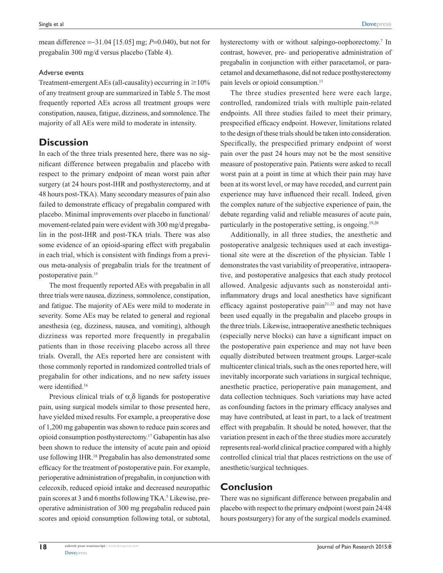mean difference =-31.04 [15.05] mg; *P*=0.040), but not for pregabalin 300 mg/d versus placebo (Table 4).

#### Adverse events

Treatment-emergent AEs (all-causality) occurring in  $\geq$ 10% of any treatment group are summarized in Table 5. The most frequently reported AEs across all treatment groups were constipation, nausea, fatigue, dizziness, and somnolence. The majority of all AEs were mild to moderate in intensity.

# **Discussion**

In each of the three trials presented here, there was no significant difference between pregabalin and placebo with respect to the primary endpoint of mean worst pain after surgery (at 24 hours post-IHR and posthysterectomy, and at 48 hours post-TKA). Many secondary measures of pain also failed to demonstrate efficacy of pregabalin compared with placebo. Minimal improvements over placebo in functional/ movement-related pain were evident with 300 mg/d pregabalin in the post-IHR and post-TKA trials. There was also some evidence of an opioid-sparing effect with pregabalin in each trial, which is consistent with findings from a previous meta-analysis of pregabalin trials for the treatment of postoperative pain.15

The most frequently reported AEs with pregabalin in all three trials were nausea, dizziness, somnolence, constipation, and fatigue. The majority of AEs were mild to moderate in severity. Some AEs may be related to general and regional anesthesia (eg, dizziness, nausea, and vomiting), although dizziness was reported more frequently in pregabalin patients than in those receiving placebo across all three trials. Overall, the AEs reported here are consistent with those commonly reported in randomized controlled trials of pregabalin for other indications, and no new safety issues were identified.<sup>16</sup>

Previous clinical trials of  $\alpha_2\delta$  ligands for postoperative pain, using surgical models similar to those presented here, have yielded mixed results. For example, a preoperative dose of 1,200 mg gabapentin was shown to reduce pain scores and opioid consumption posthysterectomy.17 Gabapentin has also been shown to reduce the intensity of acute pain and opioid use following IHR.18 Pregabalin has also demonstrated some efficacy for the treatment of postoperative pain. For example, perioperative administration of pregabalin, in conjunction with celecoxib, reduced opioid intake and decreased neuropathic pain scores at 3 and 6 months following TKA.<sup>5</sup> Likewise, preoperative administration of 300 mg pregabalin reduced pain scores and opioid consumption following total, or subtotal,

hysterectomy with or without salpingo-oophorectomy.<sup>7</sup> In contrast, however, pre- and perioperative administration of pregabalin in conjunction with either paracetamol, or paracetamol and dexamethasone, did not reduce posthysterectomy pain levels or opioid consumption.<sup>11</sup>

The three studies presented here were each large, controlled, randomized trials with multiple pain-related endpoints. All three studies failed to meet their primary, prespecified efficacy endpoint. However, limitations related to the design of these trials should be taken into consideration. Specifically, the prespecified primary endpoint of worst pain over the past 24 hours may not be the most sensitive measure of postoperative pain. Patients were asked to recall worst pain at a point in time at which their pain may have been at its worst level, or may have receded, and current pain experience may have influenced their recall. Indeed, given the complex nature of the subjective experience of pain, the debate regarding valid and reliable measures of acute pain, particularly in the postoperative setting, is ongoing.<sup>19,20</sup>

Additionally, in all three studies, the anesthetic and postoperative analgesic techniques used at each investigational site were at the discretion of the physician. Table 1 demonstrates the vast variability of preoperative, intraoperative, and postoperative analgesics that each study protocol allowed. Analgesic adjuvants such as nonsteroidal antiinflammatory drugs and local anesthetics have significant efficacy against postoperative pain<sup>21,22</sup> and may not have been used equally in the pregabalin and placebo groups in the three trials. Likewise, intraoperative anesthetic techniques (especially nerve blocks) can have a significant impact on the postoperative pain experience and may not have been equally distributed between treatment groups. Larger-scale multicenter clinical trials, such as the ones reported here, will inevitably incorporate such variations in surgical technique, anesthetic practice, perioperative pain management, and data collection techniques. Such variations may have acted as confounding factors in the primary efficacy analyses and may have contributed, at least in part, to a lack of treatment effect with pregabalin. It should be noted, however, that the variation present in each of the three studies more accurately represents real-world clinical practice compared with a highly controlled clinical trial that places restrictions on the use of anesthetic/surgical techniques.

# **Conclusion**

There was no significant difference between pregabalin and placebo with respect to the primary endpoint (worst pain 24/48 hours postsurgery) for any of the surgical models examined.

**18**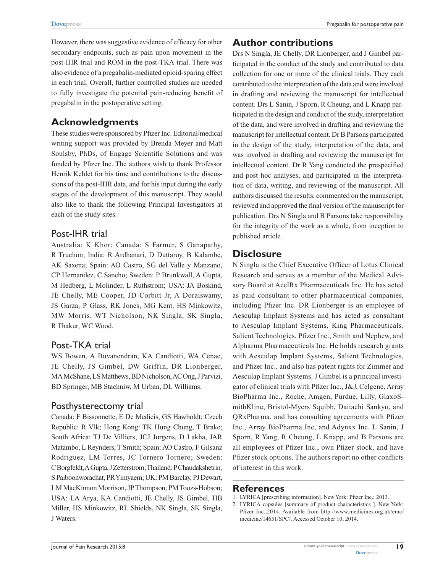However, there was suggestive evidence of efficacy for other secondary endpoints, such as pain upon movement in the post-IHR trial and ROM in the post-TKA trial. There was also evidence of a pregabalin-mediated opioid-sparing effect in each trial. Overall, further controlled studies are needed to fully investigate the potential pain-reducing benefit of pregabalin in the postoperative setting.

# **Acknowledgments**

These studies were sponsored by Pfizer Inc. Editorial/medical writing support was provided by Brenda Meyer and Matt Soulsby, PhDs, of Engage Scientific Solutions and was funded by Pfizer Inc. The authors wish to thank Professor Henrik Kehlet for his time and contributions to the discussions of the post-IHR data, and for his input during the early stages of the development of this manuscript. They would also like to thank the following Principal Investigators at each of the study sites.

# Post-IHR trial

Australia: K Khor; Canada: S Farmer, S Ganapathy, R Truchon; India: R Ardhanari, D Duttaroy, B Kalambe, AK Saxena; Spain: AO Castro, SG del Valle y Manzano, CP Hernandez, C Sancho; Sweden: P Brunkwall, A Gupta, M Hedberg, L Molinder, L Ruthstrom; USA: JA Boskind, JE Chelly, ME Cooper, JD Corbitt Jr, A Doraiswamy, JS Garza, P Glass, RK Jones, MG Kent, HS Minkowitz, MW Morris, WT Nicholson, NK Singla, SK Singla, R Thakur, WC Wood.

# Post-TKA trial

WS Bowen, A Buvanendran, KA Candiotti, WA Cenac, JE Chelly, JS Gimbel, DW Griffin, DR Lionberger, MA McShane, LS Matthews, BD Nicholson, AC Ong, J Parvizi, BD Springer, MB Stachniw, M Urban, DL Williams.

# Posthysterectomy trial

Canada: F Bissonnette, E De Medicis, GS Hawboldt; Czech Republic: R Vlk; Hong Kong: TK Hung Chung, T Brake; South Africa: TJ De Villiers, JCJ Jurgens, D Lakha, JAR Matambo, L Reynders, T Smith; Spain: AO Castro, F Gilsanz Rodriguez, LM Torres, JC Tornero Tornero; Sweden: C Borgfeldt, A Gupta, J Zetterstrom; Thailand: P Chaudakshetrin, S Paiboonworachat, PR Yimyaem; UK: PM Barclay, PJ Dewart, LM MacKinnon Morrison, JP Thompson, PM Toozs-Hobson; USA: LA Arya, KA Candiotti, JE Chelly, JS Gimbel, HB Miller, HS Minkowitz, RL Shields, NK Singla, SK Singla, J Waters.

# **Author contributions**

Drs N Singla, JE Chelly, DR Lionberger, and J Gimbel participated in the conduct of the study and contributed to data collection for one or more of the clinical trials. They each contributed to the interpretation of the data and were involved in drafting and reviewing the manuscript for intellectual content. Drs L Sanin, J Sporn, R Cheung, and L Knapp participated in the design and conduct of the study, interpretation of the data, and were involved in drafting and reviewing the manuscript for intellectual content. Dr B Parsons participated in the design of the study, interpretation of the data, and was involved in drafting and reviewing the manuscript for intellectual content. Dr R Yang conducted the prespecified and post hoc analyses, and participated in the interpretation of data, writing, and reviewing of the manuscript. All authors discussed the results, commented on the manuscript, reviewed and approved the final version of the manuscript for publication. Drs N Singla and B Parsons take responsibility for the integrity of the work as a whole, from inception to published article.

# **Disclosure**

N Singla is the Chief Executive Officer of Lotus Clinical Research and serves as a member of the Medical Advisory Board at AcelRx Pharmaceuticals Inc. He has acted as paid consultant to other pharmaceutical companies, including Pfizer Inc. DR Lionberger is an employee of Aesculap Implant Systems and has acted as consultant to Aesculap Implant Systems, King Pharmaceuticals, Salient Technologies, Pfizer Inc., Smith and Nephew, and Alpharma Pharmaceuticals Inc. He holds research grants with Aesculap Implant Systems, Salient Technologies, and Pfizer Inc., and also has patent rights for Zimmer and Aesculap Implant Systems. J Gimbel is a principal investigator of clinical trials with Pfizer Inc., J&J, Celgene, Array BioPharma Inc., Roche, Amgen, Purdue, Lilly, GlaxoSmithKline, Bristol-Myers Squibb, Daiiachi Sankyo, and QRxPharma, and has consulting agreements with Pfizer Inc., Array BioPharma Inc, and Adynxx Inc. L Sanin, J Sporn, R Yang, R Cheung, L Knapp, and B Parsons are all employees of Pfizer Inc., own Pfizer stock, and have Pfizer stock options. The authors report no other conflicts of interest in this work.

### **References**

1. LYRICA [prescribing information]. New York: Pfizer Inc.; 2013.

<sup>2.</sup> LYRICA capsules [summary of product characteristics ]. New York: Pfizer Inc.;2014. Available from [http://www.medicines.org.uk/emc/](http://www.medicines.org.uk/emc/medicine/14651/SPC/) [medicine/14651/SPC/.](http://www.medicines.org.uk/emc/medicine/14651/SPC/) Accessed October 10, 2014.